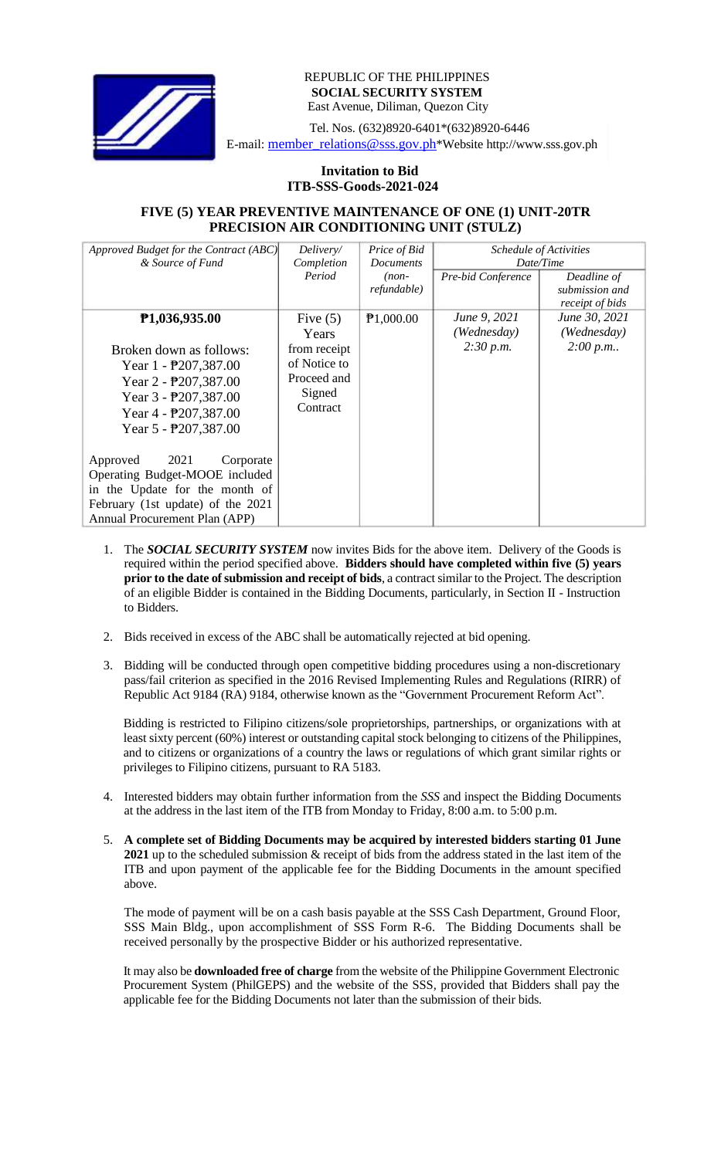

## REPUBLIC OF THE PHILIPPINES **SOCIAL SECURITY SYSTEM** East Avenue, Diliman, Quezon City

Tel. Nos. (632)8920-6401\*(632)8920-6446 E-mail: member\_relations@sss.gov.ph\*Website http://www.sss.gov.ph

## **Invitation to Bid ITB-SSS-Goods-2021-024**

## **FIVE (5) YEAR PREVENTIVE MAINTENANCE OF ONE (1) UNIT-20TR PRECISION AIR CONDITIONING UNIT (STULZ)**

| Approved Budget for the Contract (ABC)<br>& Source of Fund                                                                                                              | Delivery/<br>Completion                                           | Price of Bid<br><b>Documents</b> | Schedule of Activities<br>Date/Time |                                                  |
|-------------------------------------------------------------------------------------------------------------------------------------------------------------------------|-------------------------------------------------------------------|----------------------------------|-------------------------------------|--------------------------------------------------|
|                                                                                                                                                                         | Period                                                            | $(non-$<br>refundable)           | Pre-bid Conference                  | Deadline of<br>submission and<br>receipt of bids |
| P1,036,935.00                                                                                                                                                           | Five $(5)$<br>Years                                               | P1,000.00                        | June 9, 2021<br>(Wednesday)         | June 30, 2021<br>(Wednesday)                     |
| Broken down as follows:<br>Year 1 - P207,387.00<br>Year $2 - P207,387.00$<br>Year $3 - P207,387.00$<br>Year $4 - \frac{1}{2}207,387.00$<br>Year 5 - P207,387.00         | from receipt<br>of Notice to<br>Proceed and<br>Signed<br>Contract |                                  | 2:30 p.m.                           | 2:00 p.m.                                        |
| 2021<br>Approved<br>Corporate<br>Operating Budget-MOOE included<br>in the Update for the month of<br>February (1st update) of the 2021<br>Annual Procurement Plan (APP) |                                                                   |                                  |                                     |                                                  |

- 1. The *SOCIAL SECURITY SYSTEM* now invites Bids for the above item. Delivery of the Goods is required within the period specified above. **Bidders should have completed within five (5) years prior to** the date of submission and **receipt** of bids, a contract similar to the Project. The description of an eligible Bidder is contained in the Bidding Documents, particularly, in Section II - Instruction to Bidders.
- 2. Bids received in excess of the ABC shall be automatically rejected at bid opening.
- 3. Bidding will be conducted through open competitive bidding procedures using a non-discretionary pass/fail criterion as specified in the 2016 Revised Implementing Rules and Regulations (RIRR) of Republic Act 9184 (RA) 9184, otherwise known as the "Government Procurement Reform Act".

Bidding is restricted to Filipino citizens/sole proprietorships, partnerships, or organizations with at least sixty percent (60%) interest or outstanding capital stock belonging to citizens of the Philippines, and to citizens or organizations of a country the laws or regulations of which grant similar rights or privileges to Filipino citizens, pursuant to RA 5183.

- 4. Interested bidders may obtain further information from the *SSS* and inspect the Bidding Documents at the address in the last item of the ITB from Monday to Friday, 8:00 a.m. to 5:00 p.m.
- 5. **A complete set of Bidding Documents may be acquired by interested bidders starting 01 June 2021** up to the scheduled submission & receipt of bids from the address stated in the last item of the ITB and upon payment of the applicable fee for the Bidding Documents in the amount specified above.

The mode of payment will be on a cash basis payable at the SSS Cash Department, Ground Floor, SSS Main Bldg., upon accomplishment of SSS Form R-6. The Bidding Documents shall be received personally by the prospective Bidder or his authorized representative.

It may also be **downloaded free of charge** from the website of the Philippine Government Electronic Procurement System (PhilGEPS) and the website of the SSS*,* provided that Bidders shall pay the applicable fee for the Bidding Documents not later than the submission of their bids.